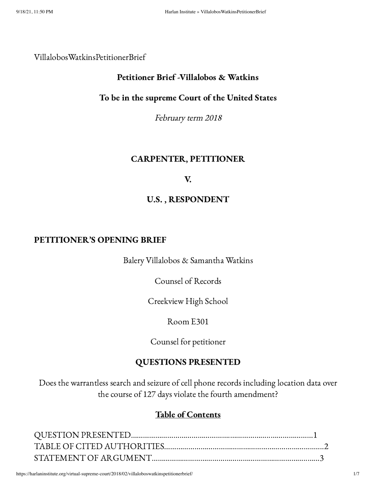#### VillalobosWatkinsPetitionerBrief

## Petitioner Brief -Villalobos & Watkins

## To be in the supreme Court of the United States

February term <sup>2018</sup>

## CARPENTER, PETITIONER

#### V.

## U.S. , RESPONDENT

### PETITIONER'S OPENING BRIEF

Balery Villalobos & Samantha Watkins

Counsel of Records

Creekview High School

Room E301

Counsel for petitioner

## QUESTIONS PRESENTED

Does the warrantless search and seizure of cell phone records including location data over the course of 127 days violate the fourth amendment?

## Table of Contents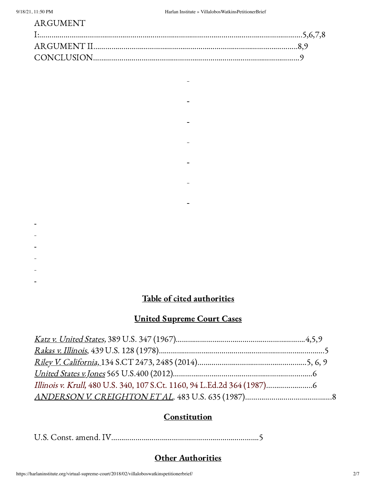## ARGUMENT

 $\blacksquare$ 

 $\blacksquare$ 

 $\frac{1}{2}$ 

 $\blacksquare$ 

 $\blacksquare$ 

- 
- 
- 
- 
- 
- 

## Table of cited authorities

# United Supreme Court Cases

# **Constitution**

U.S. Const. amend. IV……………………………………………………………….5

## **Other Authorities**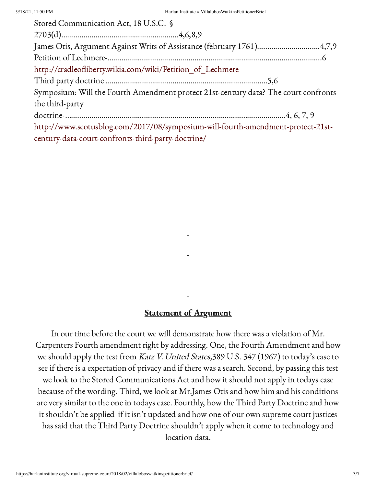| Stored Communication Act, 18 U.S.C. §                                               |
|-------------------------------------------------------------------------------------|
|                                                                                     |
|                                                                                     |
|                                                                                     |
| http://cradleofliberty.wikia.com/wiki/Petition_of_Lechmere                          |
|                                                                                     |
| Symposium: Will the Fourth Amendment protect 21st-century data? The court confronts |
| the third-party                                                                     |
|                                                                                     |
| http://www.scotusblog.com/2017/08/symposium-will-fourth-amendment-protect-21st-     |
| century-data-court-confronts-third-party-doctrine/                                  |

#### Statement of Argument

In our time before the court we will demonstrate how there was a violation of Mr. Carpenters Fourth amendment right by addressing. One, the Fourth Amendment and how we should apply the test from Katz V. United States, 389 U.S. 347 (1967) to today's case to see if there is a expectation of privacy and if there was a search. Second, by passing this test we look to the Stored Communications Act and how it should not apply in todays case because of the wording. Third, we look at Mr.James Otis and how him and his conditions are very similar to the one in todays case. Fourthly, how the Third Party Doctrine and how it shouldn't be applied if it isn't updated and how one of our own supreme court justices has said that the Third Party Doctrine shouldn't apply when it come to technology and location data.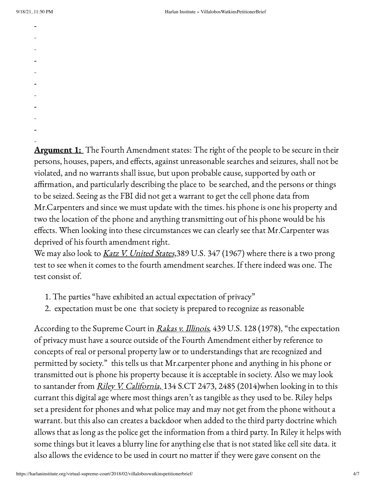- 
- 
- 
- 
- 
- 
- 
- 
- 
- 
- 

**Argument 1:** The Fourth Amendment states: The right of the people to be secure in their persons, houses, papers, and effects, against unreasonable searches and seizures, shall not be violated, and no warrants shall issue, but upon probable cause, supported by oath or affirmation, and particularly describing the place to be searched, and the persons or things to be seized. Seeing as the FBI did not get a warrant to get the cell phone data from Mr.Carpenters and since we must update with the times. his phone is one his property and two the location of the phone and anything transmitting out of his phone would be his effects. When looking into these circumstances we can clearly see that Mr.Carpenter was deprived of his fourth amendment right.

We may also look to Katz V. United States, 389 U.S. 347 (1967) where there is a two prong test to see when it comes to the fourth amendment searches. If there indeed was one. The test consist of.

- 1. The parties "have exhibited an actual expectation of privacy"
- 2. expectation must be one that society is prepared to recognize as reasonable

According to the Supreme Court in Rakas v. Illinois, 439 U.S. 128 (1978), "the expectation of privacy must have a source outside of the Fourth Amendment either by reference to concepts of real or personal property law or to understandings that are recognized and permitted by society." this tells us that Mr.carpenter phone and anything in his phone or transmitted out is phone his property because it is acceptable in society. Also we may look to santander from *Riley V. California*, 134 S.CT 2473, 2485 (2014)when looking in to this currant this digital age where most things aren't as tangible as they used to be. Riley helps set a president for phones and what police may and may not get from the phone without a warrant. but this also can creates a backdoor when added to the third party doctrine which allows that as long as the police get the information from a third party. In Riley it helps with some things but it leaves a blurry line for anything else that is not stated like cell site data. it also allows the evidence to be used in court no matter if they were gave consent on the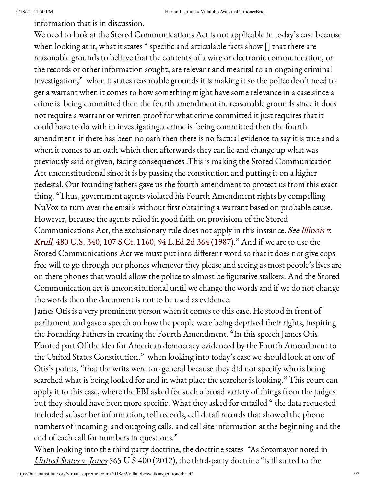information that is in discussion.

We need to look at the Stored Communications Act is not applicable in today's case because when looking at it, what it states " specific and articulable facts show [] that there are reasonable grounds to believe that the contents of a wire or electronic communication, or the records or other information sought, are relevant and mearital to an ongoing criminal investigation," when it states reasonable grounds it is making it so the police don't need to get a warrant when it comes to how something might have some relevance in a case.since a crime is being committed then the fourth amendment in. reasonable grounds since it does not require a warrant or written proof for what crime committed it just requires that it could have to do with in investigating.a crime is being committed then the fourth amendment if there has been no oath then there is no factual evidence to say it is true and a when it comes to an oath which then afterwards they can lie and change up what was previously said or given, facing consequences .This is making the Stored Communication Act unconstitutional since it is by passing the constitution and putting it on a higher pedestal. Our founding fathers gave us the fourth amendment to protect us from this exact thing. "Thus, government agents violated his Fourth Amendment rights by compelling NuVox to turn over the emails without first obtaining a warrant based on probable cause. However, because the agents relied in good faith on provisions of the Stored [Communications](https://scholar.google.com/scholar_case?case=7047825201890663839&q=us+v+warshak&hl=en&as_sdt=6,44) Act, the exclusionary rule does not apply in this instance. See Illinois v. Krull, 480 U.S. 340, 107 [S.Ct. 1160, 94](https://scholar.google.com/scholar_case?case=7047825201890663839&q=us+v+warshak&hl=en&as_sdt=6,44) L.Ed.2d 364 (1987)." And if we are to use the Stored Communications Act we must put into different word so that it does not give cops free will to go through our phones whenever they please and seeing as most people's lives are on there phones that would allow the police to almost be figurative stalkers. And the Stored Communication act is unconstitutional until we change the words and if we do not change the words then the document is not to be used as evidence.

James Otis is a very prominent person when it comes to this case. He stood in front of parliament and gave a speech on how the people were being deprived their rights, inspiring the Founding Fathers in creating the Fourth Amendment. "In this speech James Otis Planted part Of the idea for American democracy evidenced by the Fourth Amendment to the United States Constitution." when looking into today's case we should look at one of Otis's points, "that the writs were too general because they did not specify who is being searched what is being looked for and in what place the searcher is looking." This court can apply it to this case, where the FBI asked for such a broad variety of things from the judges but they should have been more specific. What they asked for entailed " the data requested included subscriber information, toll records, cell detail records that showed the phone numbers of incoming and outgoing calls, and cell site information at the beginning and the end of each call for numbers in questions."

When looking into the third party doctrine, the doctrine states "As Sotomayor noted in United States v. Jones 565 U.S.400 (2012), the third-party doctrine "is ill suited to the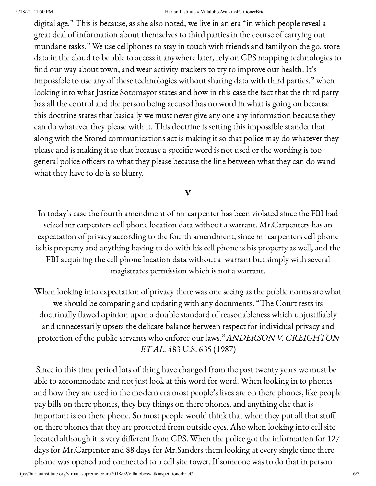#### 9/18/21, 11:50 PM Harlan Institute » VillalobosWatkinsPetitionerBrief

digital age." This is because, as she also noted, we live in an era "in which people reveal a great deal of information about themselves to third parties in the course of carrying out mundane tasks." We use cellphones to stay in touch with friends and family on the go, store data in the cloud to be able to access it anywhere later, rely on GPS mapping technologies to find our way about town, and wear activity trackers to try to improve our health. It's impossible to use any of these technologies without sharing data with third parties." when looking into what Justice Sotomayor states and how in this case the fact that the third party has all the control and the person being accused has no word in what is going on because this doctrine states that basically we must never give any one any information because they can do whatever they please with it. This doctrine is setting this impossible stander that along with the Stored communications act is making it so that police may do whatever they please and is making it so that because a specific word is not used or the wording is too general police officers to what they please because the line between what they can do wand what they have to do is so blurry.

## V

In today's case the fourth amendment of mr carpenter has been violated since the FBI had seized mr carpenters cell phone location data without a warrant. Mr.Carpenters has an expectation of privacy according to the fourth amendment, since mr carpenters cell phone is his property and anything having to do with his cell phone is his property as well, and the FBI acquiring the cell phone location data without a warrant but simply with several magistrates permission which is not a warrant.

When looking into expectation of privacy there was one seeing as the public norms are what we should be comparing and updating with any documents. "The Court rests its doctrinally flawed opinion upon a double standard of reasonableness which unjustifiably and unnecessarily upsets the delicate balance between respect for individual privacy and protection of the public servants who enforce our laws." ANDERSON V. CREIGHTON ET AL. 483 U.S. 635 (1987)

Since in this time period lots of thing have changed from the past twenty years we must be able to accommodate and not just look at this word for word. When looking in to phones and how they are used in the modern era most people's lives are on there phones, like people pay bills on there phones, they buy things on there phones, and anything else that is important is on there phone. So most people would think that when they put all that stuff on there phones that they are protected from outside eyes. Also when looking into cell site located although it is very different from GPS. When the police got the information for 127 days for Mr.Carpenter and 88 days for Mr.Sanders them looking at every single time there phone was opened and connected to a cell site tower. If someone was to do that in person